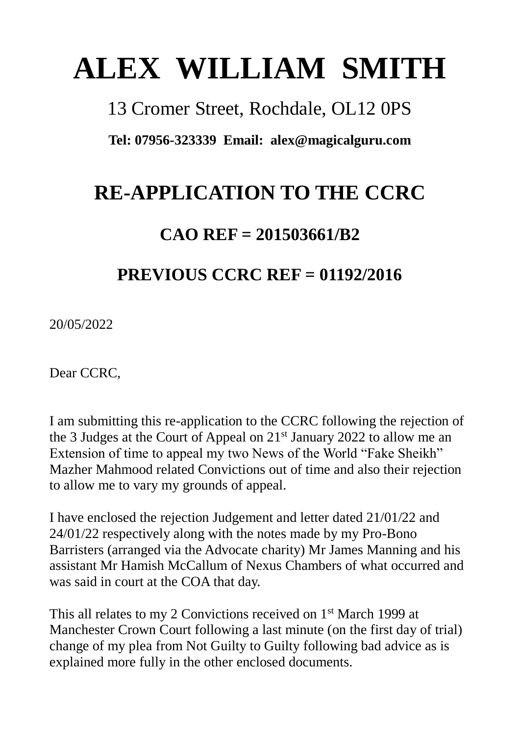# **ALEX WILLIAM SMITH**

13 Cromer Street, Rochdale, OL12 0PS

**Tel: 07956-323339 Email: [alex@magicalguru.com](mailto:alex@magicalguru.com)**

# **RE-APPLICATION TO THE CCRC**

### **CAO REF = 201503661/B2**

## **PREVIOUS CCRC REF = 01192/2016**

20/05/2022

Dear CCRC,

I am submitting this re-application to the CCRC following the rejection of the 3 Judges at the Court of Appeal on 21st January 2022 to allow me an Extension of time to appeal my two News of the World "Fake Sheikh" Mazher Mahmood related Convictions out of time and also their rejection to allow me to vary my grounds of appeal.

I have enclosed the rejection Judgement and letter dated 21/01/22 and 24/01/22 respectively along with the notes made by my Pro-Bono Barristers (arranged via the Advocate charity) Mr James Manning and his assistant Mr Hamish McCallum of Nexus Chambers of what occurred and was said in court at the COA that day.

This all relates to my 2 Convictions received on 1<sup>st</sup> March 1999 at Manchester Crown Court following a last minute (on the first day of trial) change of my plea from Not Guilty to Guilty following bad advice as is explained more fully in the other enclosed documents.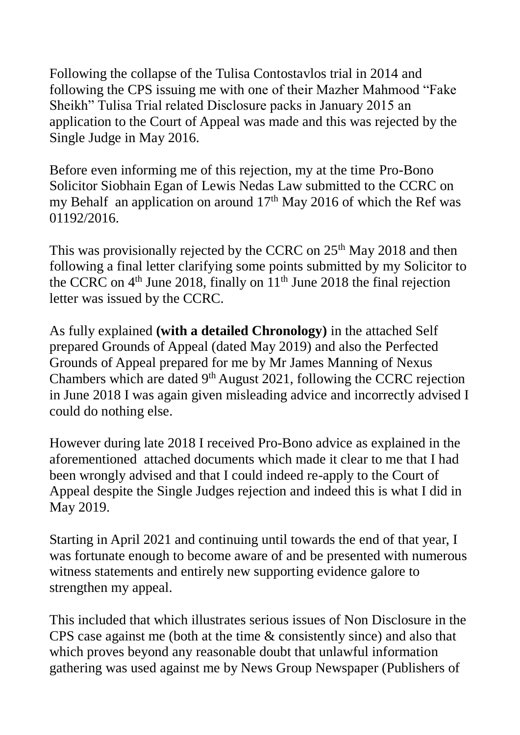Following the collapse of the Tulisa Contostavlos trial in 2014 and following the CPS issuing me with one of their Mazher Mahmood "Fake Sheikh" Tulisa Trial related Disclosure packs in January 2015 an application to the Court of Appeal was made and this was rejected by the Single Judge in May 2016.

Before even informing me of this rejection, my at the time Pro-Bono Solicitor Siobhain Egan of Lewis Nedas Law submitted to the CCRC on my Behalf an application on around  $17<sup>th</sup>$  May 2016 of which the Ref was 01192/2016.

This was provisionally rejected by the CCRC on 25<sup>th</sup> May 2018 and then following a final letter clarifying some points submitted by my Solicitor to the CCRC on  $4<sup>th</sup>$  June 2018, finally on  $11<sup>th</sup>$  June 2018 the final rejection letter was issued by the CCRC.

As fully explained **(with a detailed Chronology)** in the attached Self prepared Grounds of Appeal (dated May 2019) and also the Perfected Grounds of Appeal prepared for me by Mr James Manning of Nexus Chambers which are dated  $9<sup>th</sup>$  August 2021, following the CCRC rejection in June 2018 I was again given misleading advice and incorrectly advised I could do nothing else.

However during late 2018 I received Pro-Bono advice as explained in the aforementioned attached documents which made it clear to me that I had been wrongly advised and that I could indeed re-apply to the Court of Appeal despite the Single Judges rejection and indeed this is what I did in May 2019.

Starting in April 2021 and continuing until towards the end of that year, I was fortunate enough to become aware of and be presented with numerous witness statements and entirely new supporting evidence galore to strengthen my appeal.

This included that which illustrates serious issues of Non Disclosure in the CPS case against me (both at the time & consistently since) and also that which proves beyond any reasonable doubt that unlawful information gathering was used against me by News Group Newspaper (Publishers of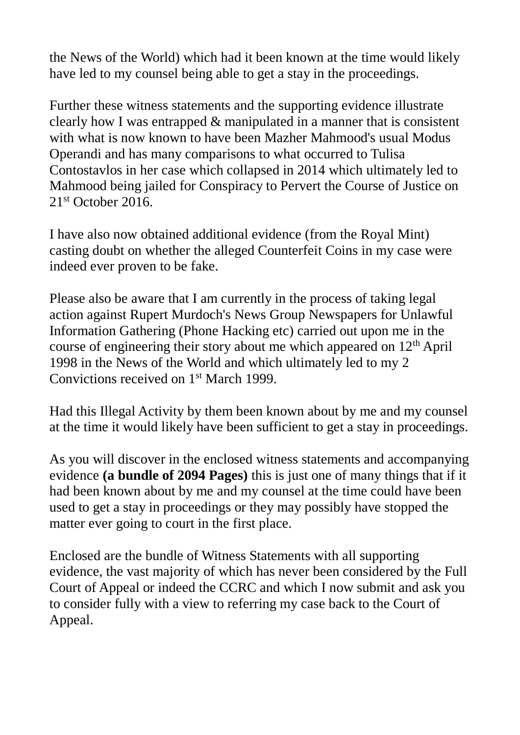the News of the World) which had it been known at the time would likely have led to my counsel being able to get a stay in the proceedings.

Further these witness statements and the supporting evidence illustrate clearly how I was entrapped & manipulated in a manner that is consistent with what is now known to have been Mazher Mahmood's usual Modus Operandi and has many comparisons to what occurred to Tulisa Contostavlos in her case which collapsed in 2014 which ultimately led to Mahmood being jailed for Conspiracy to Pervert the Course of Justice on 21<sup>st</sup> October 2016.

I have also now obtained additional evidence (from the Royal Mint) casting doubt on whether the alleged Counterfeit Coins in my case were indeed ever proven to be fake.

Please also be aware that I am currently in the process of taking legal action against Rupert Murdoch's News Group Newspapers for Unlawful Information Gathering (Phone Hacking etc) carried out upon me in the course of engineering their story about me which appeared on  $12<sup>th</sup>$  April 1998 in the News of the World and which ultimately led to my 2 Convictions received on 1st March 1999.

Had this Illegal Activity by them been known about by me and my counsel at the time it would likely have been sufficient to get a stay in proceedings.

As you will discover in the enclosed witness statements and accompanying evidence **(a bundle of 2094 Pages)** this is just one of many things that if it had been known about by me and my counsel at the time could have been used to get a stay in proceedings or they may possibly have stopped the matter ever going to court in the first place.

Enclosed are the bundle of Witness Statements with all supporting evidence, the vast majority of which has never been considered by the Full Court of Appeal or indeed the CCRC and which I now submit and ask you to consider fully with a view to referring my case back to the Court of Appeal.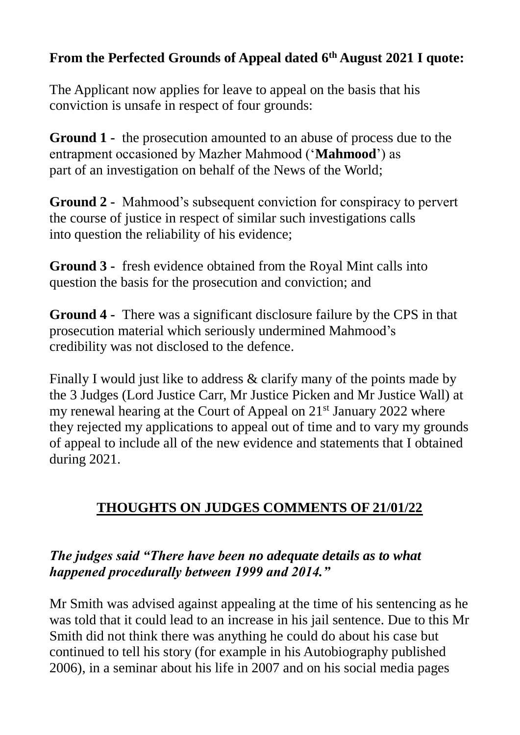#### **From the Perfected Grounds of Appeal dated 6th August 2021 I quote:**

The Applicant now applies for leave to appeal on the basis that his conviction is unsafe in respect of four grounds:

**Ground 1 -** the prosecution amounted to an abuse of process due to the entrapment occasioned by Mazher Mahmood ('**Mahmood**') as part of an investigation on behalf of the News of the World;

**Ground 2 -** Mahmood's subsequent conviction for conspiracy to pervert the course of justice in respect of similar such investigations calls into question the reliability of his evidence;

**Ground 3 -** fresh evidence obtained from the Royal Mint calls into question the basis for the prosecution and conviction; and

**Ground 4 -** There was a significant disclosure failure by the CPS in that prosecution material which seriously undermined Mahmood's credibility was not disclosed to the defence.

Finally I would just like to address & clarify many of the points made by the 3 Judges (Lord Justice Carr, Mr Justice Picken and Mr Justice Wall) at my renewal hearing at the Court of Appeal on 21<sup>st</sup> January 2022 where they rejected my applications to appeal out of time and to vary my grounds of appeal to include all of the new evidence and statements that I obtained during 2021.

#### **THOUGHTS ON JUDGES COMMENTS OF 21/01/22**

#### *The judges said "There have been no adequate details as to what happened procedurally between 1999 and 2014."*

Mr Smith was advised against appealing at the time of his sentencing as he was told that it could lead to an increase in his jail sentence. Due to this Mr Smith did not think there was anything he could do about his case but continued to tell his story (for example in his Autobiography published 2006), in a seminar about his life in 2007 and on his social media pages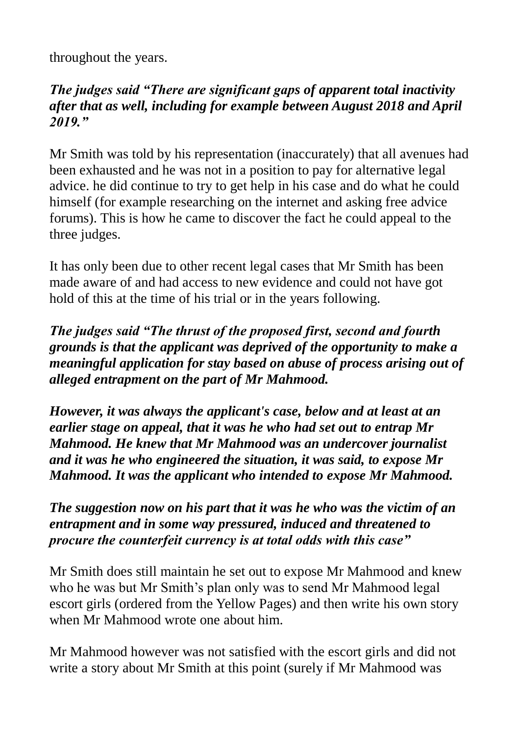throughout the years.

#### *The judges said "There are significant gaps of apparent total inactivity after that as well, including for example between August 2018 and April 2019."*

Mr Smith was told by his representation (inaccurately) that all avenues had been exhausted and he was not in a position to pay for alternative legal advice. he did continue to try to get help in his case and do what he could himself (for example researching on the internet and asking free advice forums). This is how he came to discover the fact he could appeal to the three judges.

It has only been due to other recent legal cases that Mr Smith has been made aware of and had access to new evidence and could not have got hold of this at the time of his trial or in the years following.

#### *The judges said "The thrust of the proposed first, second and fourth grounds is that the applicant was deprived of the opportunity to make a meaningful application for stay based on abuse of process arising out of alleged entrapment on the part of Mr Mahmood.*

*However, it was always the applicant's case, below and at least at an earlier stage on appeal, that it was he who had set out to entrap Mr Mahmood. He knew that Mr Mahmood was an undercover journalist and it was he who engineered the situation, it was said, to expose Mr Mahmood. It was the applicant who intended to expose Mr Mahmood.* 

*The suggestion now on his part that it was he who was the victim of an entrapment and in some way pressured, induced and threatened to procure the counterfeit currency is at total odds with this case"*

Mr Smith does still maintain he set out to expose Mr Mahmood and knew who he was but Mr Smith's plan only was to send Mr Mahmood legal escort girls (ordered from the Yellow Pages) and then write his own story when Mr Mahmood wrote one about him.

Mr Mahmood however was not satisfied with the escort girls and did not write a story about Mr Smith at this point (surely if Mr Mahmood was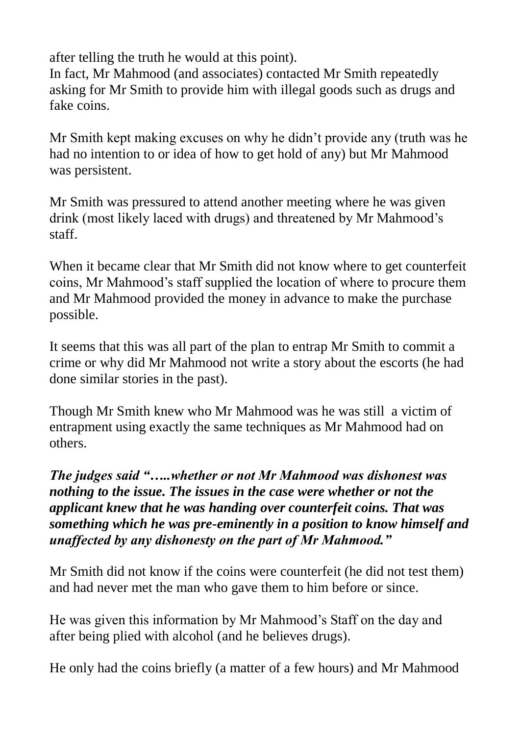after telling the truth he would at this point).

In fact, Mr Mahmood (and associates) contacted Mr Smith repeatedly asking for Mr Smith to provide him with illegal goods such as drugs and fake coins.

Mr Smith kept making excuses on why he didn't provide any (truth was he had no intention to or idea of how to get hold of any) but Mr Mahmood was persistent.

Mr Smith was pressured to attend another meeting where he was given drink (most likely laced with drugs) and threatened by Mr Mahmood's staff.

When it became clear that Mr Smith did not know where to get counterfeit coins, Mr Mahmood's staff supplied the location of where to procure them and Mr Mahmood provided the money in advance to make the purchase possible.

It seems that this was all part of the plan to entrap Mr Smith to commit a crime or why did Mr Mahmood not write a story about the escorts (he had done similar stories in the past).

Though Mr Smith knew who Mr Mahmood was he was still a victim of entrapment using exactly the same techniques as Mr Mahmood had on others.

*The judges said "…..whether or not Mr Mahmood was dishonest was nothing to the issue. The issues in the case were whether or not the applicant knew that he was handing over counterfeit coins. That was something which he was pre-eminently in a position to know himself and unaffected by any dishonesty on the part of Mr Mahmood."*

Mr Smith did not know if the coins were counterfeit (he did not test them) and had never met the man who gave them to him before or since.

He was given this information by Mr Mahmood's Staff on the day and after being plied with alcohol (and he believes drugs).

He only had the coins briefly (a matter of a few hours) and Mr Mahmood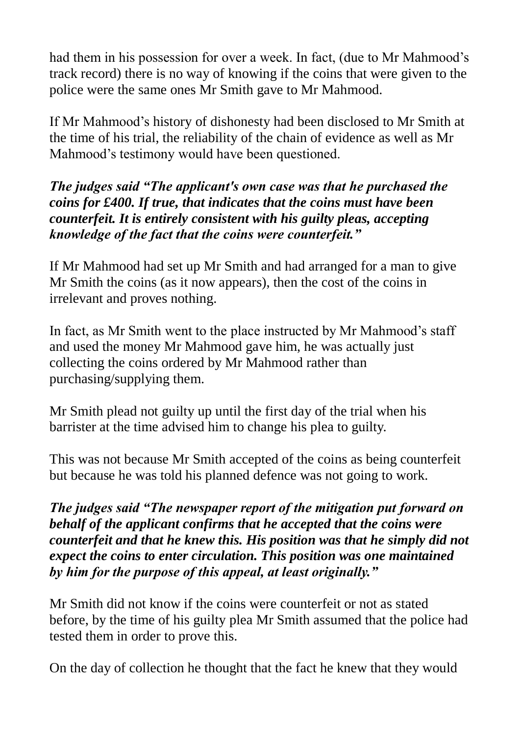had them in his possession for over a week. In fact, (due to Mr Mahmood's track record) there is no way of knowing if the coins that were given to the police were the same ones Mr Smith gave to Mr Mahmood.

If Mr Mahmood's history of dishonesty had been disclosed to Mr Smith at the time of his trial, the reliability of the chain of evidence as well as Mr Mahmood's testimony would have been questioned.

*The judges said "The applicant's own case was that he purchased the coins for £400. If true, that indicates that the coins must have been counterfeit. It is entirely consistent with his guilty pleas, accepting knowledge of the fact that the coins were counterfeit."*

If Mr Mahmood had set up Mr Smith and had arranged for a man to give Mr Smith the coins (as it now appears), then the cost of the coins in irrelevant and proves nothing.

In fact, as Mr Smith went to the place instructed by Mr Mahmood's staff and used the money Mr Mahmood gave him, he was actually just collecting the coins ordered by Mr Mahmood rather than purchasing/supplying them.

Mr Smith plead not guilty up until the first day of the trial when his barrister at the time advised him to change his plea to guilty.

This was not because Mr Smith accepted of the coins as being counterfeit but because he was told his planned defence was not going to work.

*The judges said "The newspaper report of the mitigation put forward on behalf of the applicant confirms that he accepted that the coins were counterfeit and that he knew this. His position was that he simply did not expect the coins to enter circulation. This position was one maintained by him for the purpose of this appeal, at least originally."*

Mr Smith did not know if the coins were counterfeit or not as stated before, by the time of his guilty plea Mr Smith assumed that the police had tested them in order to prove this.

On the day of collection he thought that the fact he knew that they would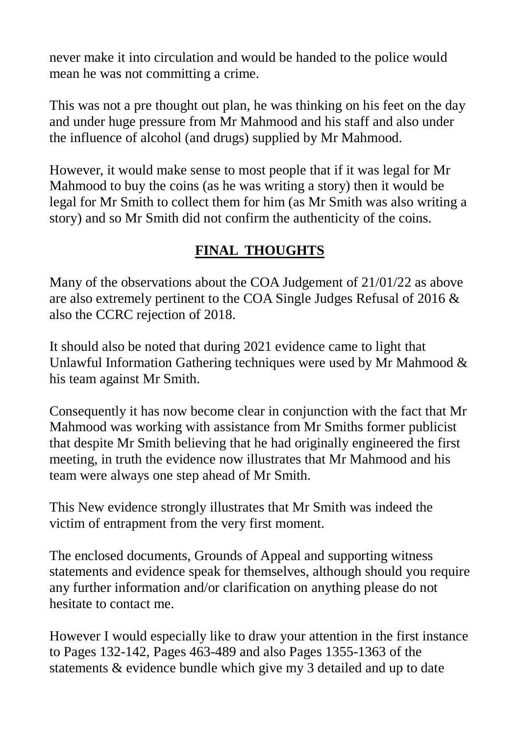never make it into circulation and would be handed to the police would mean he was not committing a crime.

This was not a pre thought out plan, he was thinking on his feet on the day and under huge pressure from Mr Mahmood and his staff and also under the influence of alcohol (and drugs) supplied by Mr Mahmood.

However, it would make sense to most people that if it was legal for Mr Mahmood to buy the coins (as he was writing a story) then it would be legal for Mr Smith to collect them for him (as Mr Smith was also writing a story) and so Mr Smith did not confirm the authenticity of the coins.

#### **FINAL THOUGHTS**

Many of the observations about the COA Judgement of 21/01/22 as above are also extremely pertinent to the COA Single Judges Refusal of 2016 & also the CCRC rejection of 2018.

It should also be noted that during 2021 evidence came to light that Unlawful Information Gathering techniques were used by Mr Mahmood & his team against Mr Smith.

Consequently it has now become clear in conjunction with the fact that Mr Mahmood was working with assistance from Mr Smiths former publicist that despite Mr Smith believing that he had originally engineered the first meeting, in truth the evidence now illustrates that Mr Mahmood and his team were always one step ahead of Mr Smith.

This New evidence strongly illustrates that Mr Smith was indeed the victim of entrapment from the very first moment.

The enclosed documents, Grounds of Appeal and supporting witness statements and evidence speak for themselves, although should you require any further information and/or clarification on anything please do not hesitate to contact me.

However I would especially like to draw your attention in the first instance to Pages 132-142, Pages 463-489 and also Pages 1355-1363 of the statements & evidence bundle which give my 3 detailed and up to date